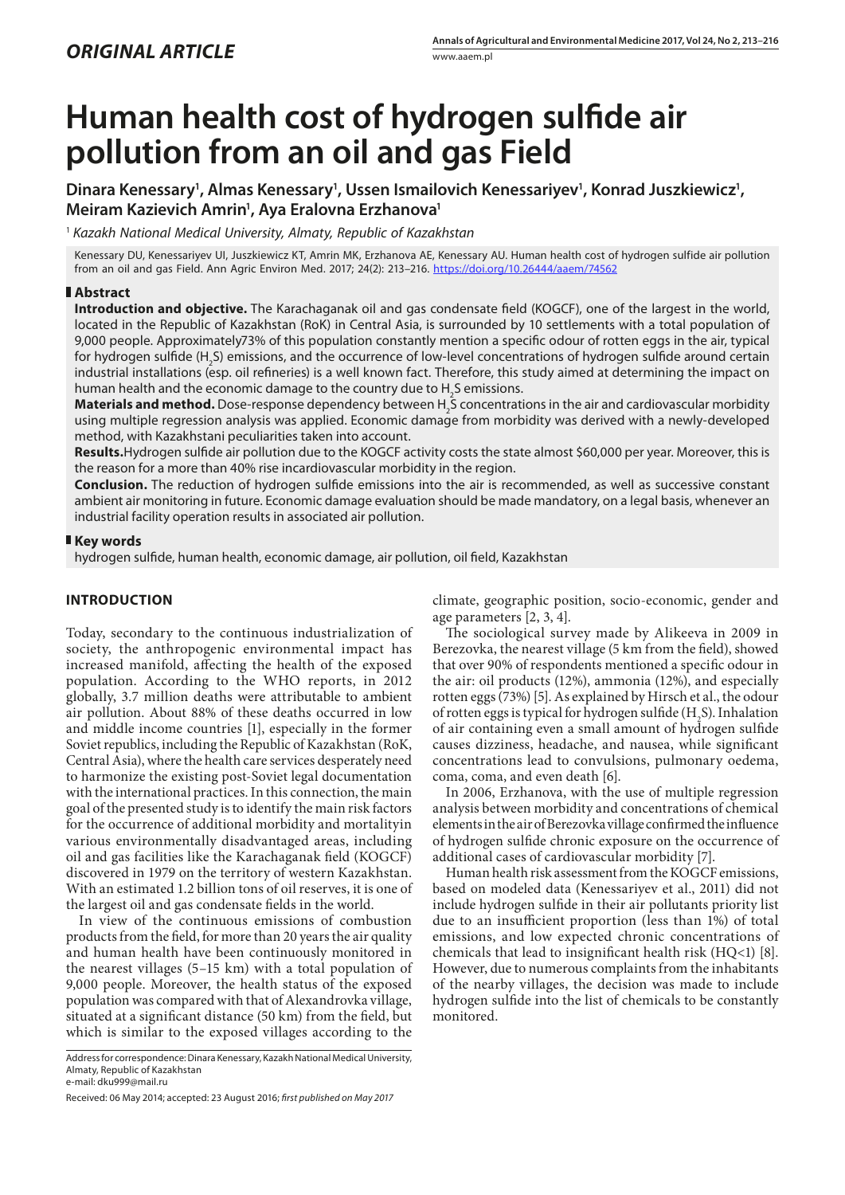# **Human health cost of hydrogen sulfide air pollution from an oil and gas Field**

Dinara Kenessary<sup>1</sup>, Almas Kenessary<sup>1</sup>, Ussen Ismailovich Kenessariyev<sup>1</sup>, Konrad Juszkiewicz<sup>1</sup>, **Meiram Kazievich Amrin1 , Aya Eralovna Erzhanova1**

<sup>1</sup> *Kazakh National Medical University, Almaty, Republic of Kazakhstan*

Kenessary DU, Kenessariyev UI, Juszkiewicz KT, Amrin MK, Erzhanova AE, Kenessary AU. Human health cost of hydrogen sulfide air pollution from an oil and gas Field. Ann Agric Environ Med. 2017; 24(2): 213–216. <https://doi.org/10.26444/aaem/74562>

### **Abstract**

**Introduction and objective.** The Karachaganak oil and gas condensate field (KOGCF), one of the largest in the world, located in the Republic of Kazakhstan (RoK) in Central Asia, is surrounded by 10 settlements with a total population of 9,000 people. Approximately73% of this population constantly mention a specific odour of rotten eggs in the air, typical for hydrogen sulfide (H<sub>2</sub>S) emissions, and the occurrence of low-level concentrations of hydrogen sulfide around certain industrial installations (esp. oil refineries) is a well known fact. Therefore, this study aimed at determining the impact on human health and the economic damage to the country due to  $\rm H_2$ S emissions.

**Materials and method.** Dose-response dependency between H<sub>2</sub>S concentrations in the air and cardiovascular morbidity using multiple regression analysis was applied. Economic damage from morbidity was derived with a newly-developed method, with Kazakhstani peculiarities taken into account.

**Results.**Hydrogen sulfide air pollution due to the KOGCF activity costs the state almost \$60,000 per year. Moreover, this is the reason for a more than 40% rise incardiovascular morbidity in the region.

**Conclusion.** The reduction of hydrogen sulfide emissions into the air is recommended, as well as successive constant ambient air monitoring in future. Economic damage evaluation should be made mandatory, on a legal basis, whenever an industrial facility operation results in associated air pollution.

### **Key words**

hydrogen sulfide, human health, economic damage, air pollution, oil field, Kazakhstan

## **INTRODUCTION**

Today, secondary to the continuous industrialization of society, the anthropogenic environmental impact has increased manifold, affecting the health of the exposed population. According to the WHO reports, in 2012 globally, 3.7 million deaths were attributable to ambient air pollution. About 88% of these deaths occurred in low and middle income countries [1], especially in the former Soviet republics, including the Republic of Kazakhstan (RoK, Central Asia), where the health care services desperately need to harmonize the existing post-Soviet legal documentation with the international practices. In this connection, the main goal of the presented study is to identify the main risk factors for the occurrence of additional morbidity and mortalityin various environmentally disadvantaged areas, including oil and gas facilities like the Karachaganak field (KOGCF) discovered in 1979 on the territory of western Kazakhstan. With an estimated 1.2 billion tons of oil reserves, it is one of the largest oil and gas condensate fields in the world.

In view of the continuous emissions of combustion products from the field, for more than 20 years the air quality and human health have been continuously monitored in the nearest villages (5–15 km) with a total population of 9,000 people. Moreover, the health status of the exposed population was compared with that of Alexandrovka village, situated at a significant distance (50 km) from the field, but which is similar to the exposed villages according to the

e-mail: dku999@mail.ru

climate, geographic position, socio-economic, gender and age parameters [2, 3, 4].

The sociological survey made by Alikeeva in 2009 in Berezovka, the nearest village (5 km from the field), showed that over 90% of respondents mentioned a specific odour in the air: oil products (12%), ammonia (12%), and especially rotten eggs (73%) [5]. As explained by Hirsch et al., the odour of rotten eggs is typical for hydrogen sulfide  $(H_2S)$ . Inhalation of air containing even a small amount of hydrogen sulfide causes dizziness, headache, and nausea, while significant concentrations lead to convulsions, pulmonary oedema, coma, coma, and even death [6].

In 2006, Erzhanova, with the use of multiple regression analysis between morbidity and concentrations of chemical elements in the air of Berezovka village confirmed the influence of hydrogen sulfide chronic exposure on the occurrence of additional cases of cardiovascular morbidity [7].

Human health risk assessment from the KOGCF emissions, based on modeled data (Kenessariyev et al., 2011) did not include hydrogen sulfide in their air pollutants priority list due to an insufficient proportion (less than 1%) of total emissions, and low expected chronic concentrations of chemicals that lead to insignificant health risk (HQ<1) [8]. However, due to numerous complaints from the inhabitants of the nearby villages, the decision was made to include hydrogen sulfide into the list of chemicals to be constantly monitored.

Address for correspondence: Dinara Kenessary, Kazakh National Medical University, Almaty, Republic of Kazakhstan

Received: 06 May 2014; accepted: 23 August 2016; *first published on May 2017*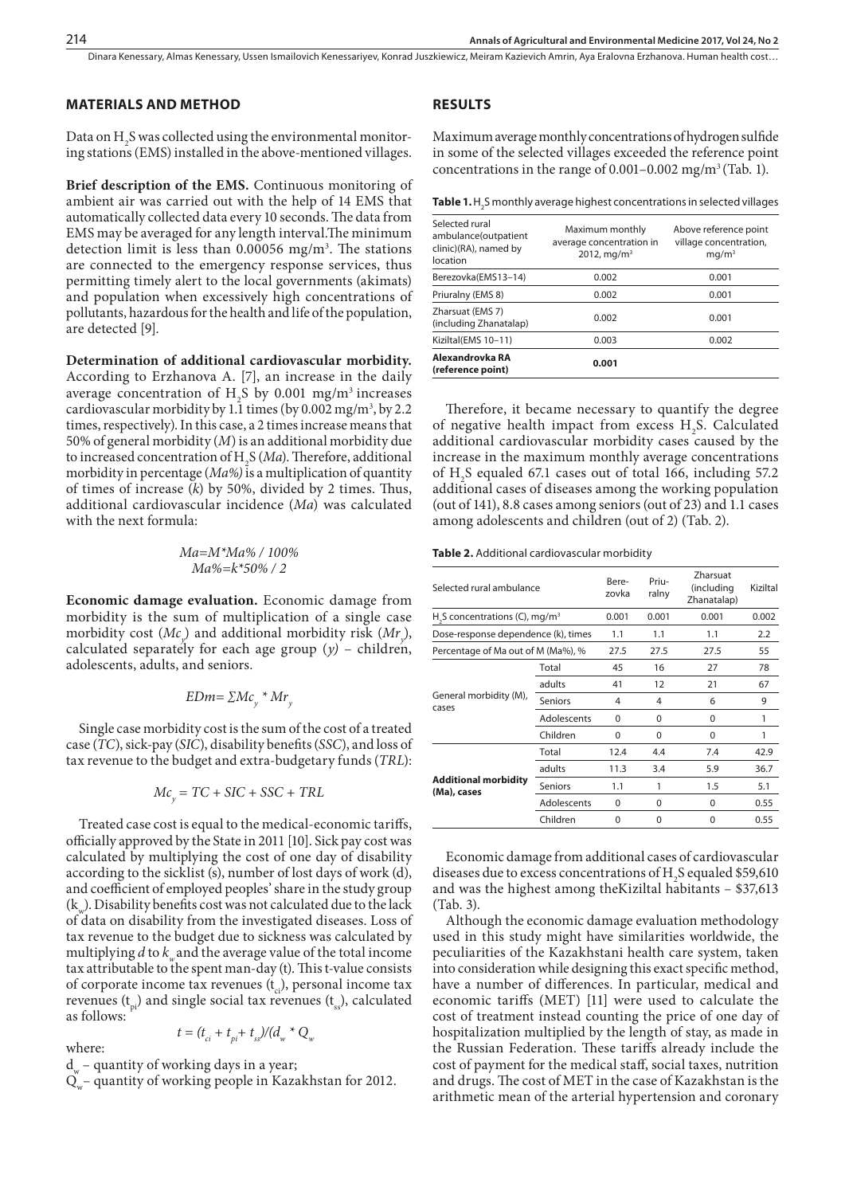Dinara Kenessary, Almas Kenessary, Ussen Ismailovich Kenessariyev, Konrad Juszkiewicz, Meiram Kazievich Amrin, Aya Eralovna Erzhanova . Human health cost…

#### **MATERIALS AND METHOD**

Data on  $H_2$ S was collected using the environmental monitoring stations (EMS) installed in the above-mentioned villages.

**Brief description of the EMS.** Continuous monitoring of ambient air was carried out with the help of 14 EMS that automatically collected data every 10 seconds. The data from EMS may be averaged for any length interval.The minimum detection limit is less than 0.00056 mg/m<sup>3</sup>. The stations are connected to the emergency response services, thus permitting timely alert to the local governments (akimats) and population when excessively high concentrations of pollutants, hazardous for the health and life of the population, are detected [9].

**Determination of additional cardiovascular morbidity.** According to Erzhanova A. [7], an increase in the daily average concentration of  $H_2S$  by 0.001 mg/m<sup>3</sup> increases cardiovascular morbidity by 1.1 times (by 0.002 mg/m<sup>3</sup>, by 2.2 times, respectively). In this case, a 2 times increase means that 50% of general morbidity (*M*) is an additional morbidity due to increased concentration of H2 S (*Ma*). Therefore, additional morbidity in percentage (*Ma%)* is a multiplication of quantity of times of increase (*k*) by 50%, divided by 2 times. Thus, additional cardiovascular incidence (*Ma*) was calculated with the next formula:

#### *Ma=M\*Ma% / 100% Ma%=k\*50% / 2*

**Economic damage evaluation.** Economic damage from morbidity is the sum of multiplication of a single case morbidity cost (*Mcy* ) and additional morbidity risk (*Mry* ), calculated separately for each age group  $(y)$  – children, adolescents, adults, and seniors.

$$
EDm = \sum Mc_y * Mr_y
$$

Single case morbidity cost is the sum of the cost of a treated case (*TC*), sick-pay (*SIC*), disability benefits (*SSC*), and loss of tax revenue to the budget and extra-budgetary funds (*TRL*):

$$
Mc_y = TC + SIC + SSC + TRL
$$

Treated case cost is equal to the medical-economic tariffs, officially approved by the State in 2011 [10]. Sick pay cost was calculated by multiplying the cost of one day of disability according to the sicklist (s), number of lost days of work (d), and coefficient of employed peoples' share in the study group  $(k_{w})$ . Disability benefits cost was not calculated due to the lack of data on disability from the investigated diseases. Loss of tax revenue to the budget due to sickness was calculated by multiplying  $d$  to  $k_w$  and the average value of the total income tax attributable to the spent man-day (t). This t-value consists of corporate income tax revenues  $(t_{ci})$ , personal income tax revenues  $(t_n)$  and single social tax revenues  $(t_s)$ , calculated as follows:

$$
t = (t_{ci} + t_{pi} + t_{ss})/(d_w * Q_{i}
$$

where:

 $d_{w}$  – quantity of working days in a year;

 $Q_w^-$  quantity of working people in Kazakhstan for 2012.

#### **RESULTS**

Maximum average monthly concentrations of hydrogen sulfide in some of the selected villages exceeded the reference point concentrations in the range of  $0.001-0.002$  mg/m<sup>3</sup> (Tab. 1).

**Table 1.** H<sub>2</sub>S monthly average highest concentrations in selected villages

| Selected rural<br>ambulance(outpatient<br>clinic)(RA), named by<br>location | Maximum monthly<br>average concentration in<br>2012, mg/m <sup>3</sup> | Above reference point<br>village concentration,<br>$mq/m^3$ |
|-----------------------------------------------------------------------------|------------------------------------------------------------------------|-------------------------------------------------------------|
| Berezovka(EMS13-14)                                                         | 0.002                                                                  | 0.001                                                       |
| Priuralny (EMS 8)                                                           | 0.002                                                                  | 0.001                                                       |
| Zharsuat (EMS 7)<br>(including Zhanatalap)                                  | 0.002                                                                  | 0.001                                                       |
| Kiziltal(EMS 10-11)                                                         | 0.003                                                                  | 0.002                                                       |
| Alexandrovka RA<br>(reference point)                                        | 0.001                                                                  |                                                             |

Therefore, it became necessary to quantify the degree of negative health impact from excess  $H_2S$ . Calculated additional cardiovascular morbidity cases caused by the increase in the maximum monthly average concentrations of H2 S equaled 67.1 cases out of total 166, including 57.2 additional cases of diseases among the working population (out of 141), 8.8 cases among seniors (out of 23) and 1.1 cases among adolescents and children (out of 2) (Tab. 2).

**Table 2.** Additional cardiovascular morbidity

| Selected rural ambulance                               |                | Bere-<br>zovka | Priu-<br>ralny | Zharsuat<br>(including<br>Zhanatalap) | Kiziltal |
|--------------------------------------------------------|----------------|----------------|----------------|---------------------------------------|----------|
| H <sub>2</sub> S concentrations (C), mg/m <sup>3</sup> |                | 0.001          | 0.001          | 0.001                                 | 0.002    |
| Dose-response dependence (k), times                    |                | 1.1            | 1.1            | 1.1                                   | 2.2      |
| Percentage of Ma out of M (Ma%), %                     |                | 27.5           | 27.5           | 27.5                                  | 55       |
|                                                        | Total          | 45             | 16             | 27                                    | 78       |
|                                                        | adults         | 41             | 12             | 21                                    | 67       |
| General morbidity (M),<br>cases                        | <b>Seniors</b> | 4              | 4              | 6                                     | 9        |
|                                                        | Adolescents    | $\Omega$       | $\Omega$       | $\Omega$                              | 1        |
|                                                        | Children       | $\Omega$       | $\Omega$       | $\Omega$                              | 1        |
|                                                        | Total          | 12.4           | 4.4            | 7.4                                   | 42.9     |
|                                                        | adults         | 11.3           | 3.4            | 5.9                                   | 36.7     |
| <b>Additional morbidity</b><br>(Ma), cases             | <b>Seniors</b> | 1.1            | 1              | 1.5                                   | 5.1      |
|                                                        | Adolescents    | 0              | $\Omega$       | $\Omega$                              | 0.55     |
|                                                        | Children       | 0              | 0              | $\Omega$                              | 0.55     |

Economic damage from additional cases of cardiovascular diseases due to excess concentrations of H2 S equaled \$59,610 and was the highest among theKiziltal habitants – \$37,613 (Tab. 3).

Although the economic damage evaluation methodology used in this study might have similarities worldwide, the peculiarities of the Kazakhstani health care system, taken into consideration while designing this exact specific method, have a number of differences. In particular, medical and economic tariffs (MET) [11] were used to calculate the cost of treatment instead counting the price of one day of hospitalization multiplied by the length of stay, as made in the Russian Federation. These tariffs already include the cost of payment for the medical staff, social taxes, nutrition and drugs. The cost of MET in the case of Kazakhstan is the arithmetic mean of the arterial hypertension and coronary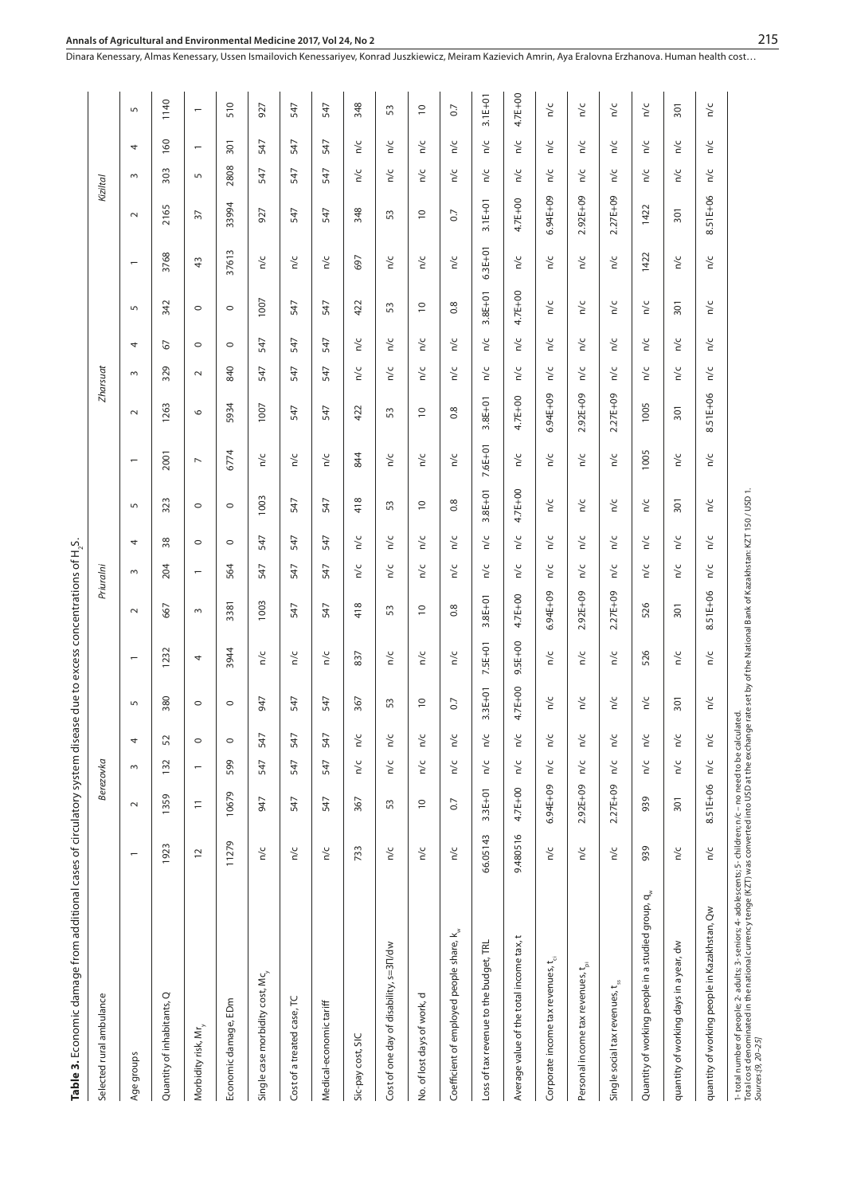| s<br>S       |
|--------------|
|              |
|              |
|              |
| こくし          |
|              |
| ť            |
|              |
| I            |
| Table 3. Ecc |
|              |
|              |
|              |

| Table 3. Economic damage from additional cases of circulatory system disea                                                                                                                                                        |                          |                |                          |               | ise            |                          | due to excess concentrations of H <sub>2</sub> S. |                          |                    |                          |                          |                          |                    |         |                          |                          |                |                    |                          |                          |
|-----------------------------------------------------------------------------------------------------------------------------------------------------------------------------------------------------------------------------------|--------------------------|----------------|--------------------------|---------------|----------------|--------------------------|---------------------------------------------------|--------------------------|--------------------|--------------------------|--------------------------|--------------------------|--------------------|---------|--------------------------|--------------------------|----------------|--------------------|--------------------------|--------------------------|
| Selected rural ambulance                                                                                                                                                                                                          |                          |                | Berezovka                |               |                |                          |                                                   | Priuralni                |                    |                          |                          |                          | Zharsuat           |         |                          |                          |                | Kiziltal           |                          |                          |
| Age groups                                                                                                                                                                                                                        | $\overline{\phantom{0}}$ | $\sim$         | $\sim$                   | 4             | 5              | $\overline{\phantom{m}}$ | $\sim$                                            | $\sim$                   | 4                  | $\overline{5}$           | $\overline{\phantom{0}}$ | $\sim$                   | $\sim$             | 4       | 5                        | $\overline{\phantom{m}}$ | $\sim$         | $\sim$             | 4                        | 5                        |
| Quantity of inhabitants, Q                                                                                                                                                                                                        | 1923                     | 1359           | 132                      | 52            | 380            | 1232                     | 667                                               | 204                      | 38                 | 323                      | 2001                     | 1263                     | 329                | 67      | 342                      | 3768                     | 2165           | 303                | 160                      | 1140                     |
| Morbidity risk, Mr <sub>y</sub>                                                                                                                                                                                                   | $\overline{c}$           | $\overline{-}$ | $\overline{\phantom{0}}$ | $\circ$       | $\circ$        | 4                        | $\sim$                                            | $\overline{\phantom{0}}$ | $\circ$            | $\circ$                  | $\overline{\phantom{a}}$ | $\circ$                  | $\sim$             | $\circ$ | $\circ$                  | 43                       | $\overline{5}$ | $\overline{5}$     | $\overline{\phantom{m}}$ | $\overline{\phantom{m}}$ |
| Economic damage, EDm                                                                                                                                                                                                              | 11279                    | 10679          | 599                      | $\circ$       | $\circ$        | 3944                     | 3381                                              | 564                      | $\circ$            | $\circ$                  | 6774                     | 5934                     | 840                | $\circ$ | $\circ$                  | 37613                    | 33994          | 2808               | 301                      | 510                      |
| Single case morbidity cost, Mc <sub>y</sub>                                                                                                                                                                                       | n/c                      | 947            | 547                      | 547           | 947            | n/c                      | 1003                                              | 547                      | 547                | 1003                     | n/c                      | 1007                     | 547                | 547     | 1007                     | n/c                      | 927            | 547                | 547                      | 927                      |
| Cost of a treated case, TC                                                                                                                                                                                                        | $\frac{c}{n}$            | 547            | 547                      | 547           | 547            | n/c                      | 547                                               | 547                      | 547                | 547                      | n/c                      | 547                      | 547                | 547     | 547                      | n/c                      | 547            | 547                | 547                      | 547                      |
| Medical-economic tariff                                                                                                                                                                                                           | n/c                      | 547            | 547                      | 547           | 547            | n/c                      | 547                                               | 547                      | 547                | 547                      | n/c                      | 547                      | 547                | 547     | 547                      | n/c                      | 547            | 547                | 547                      | 547                      |
| Sic-pay cost, SIC                                                                                                                                                                                                                 | 733                      | 367            | n/c                      | n/c           | 367            | 837                      | 418                                               | n/c                      | n/c                | 418                      | 844                      | 422                      | n/c                | n/c     | 422                      | 697                      | 348            | n/c                | n/c                      | 348                      |
| Cost of one day of disability, s=31/dw                                                                                                                                                                                            | n/c                      | 53             | $\frac{c}{\alpha}$       | n/c           | 53             | n/c                      | 53                                                | n/c                      | n/c                | 53                       | n/c                      | 53                       | n/c                | n/c     | 53                       | n/c                      | 53             | n/c                | n/c                      | 53                       |
| No. of lost days of work, d                                                                                                                                                                                                       | $\frac{c}{\alpha}$       | $\Xi$          | $\frac{c}{\alpha}$       | $\frac{c}{n}$ | $\overline{C}$ | n/c                      | $\overline{C}$                                    | n/c                      | $\frac{c}{\alpha}$ | $\overline{\phantom{0}}$ | n/c                      | $\overline{\phantom{0}}$ | n/c                | n/c     | $\overline{\phantom{0}}$ | $\frac{c}{c}$            | $\overline{C}$ | $\frac{c}{d}$      | n/c                      | $\overline{c}$           |
| Coefficient of employed people share, k <sub>w</sub>                                                                                                                                                                              | n/c                      | $\overline{0}$ | $\frac{c}{n}$            | $\frac{c}{n}$ | 0.7            | n/c                      | $0.\overline{8}$                                  | n/c                      | n/c                | 0.8                      | n/c                      | 0.8                      | n/c                | n/c     | 0.8                      | n/c                      | 0.7            | n/c                | n/c                      | $\overline{0}$           |
| Loss of tax revenue to the budget, TRL                                                                                                                                                                                            | 66.05143                 | $3.3E + 01$    | n/c                      | n/c           | $3.3E + 01$    | 7.5E+01                  | $3.8E + 01$                                       | n/c                      | n/c                | $3.8E+01$                | 7.6E+01                  | $3.8E + 01$              | n/c                | n/c     | $3.8E + 01$              | $6.3E + 01$              | $3.1E + 01$    | n/c                | n/c                      | $3.1E + 01$              |
| Average value of the total income tax, t                                                                                                                                                                                          | 9.480516                 | 4.7E+00        | n/c                      | n/c           | 4.7E+00        | 9.5E+00                  | 4.7E+00                                           | n/c                      | O.<br>ξ            | 4.7E+00                  | n/c                      | $4.7E+00$                | n/c                | n/c     | 4.7E+00                  | n/c                      | $4.7E+00$      | n/c                | n/c                      | 4.7E+00                  |
| Corporate income tax revenues, t <sub>d</sub>                                                                                                                                                                                     | n/c                      | $6.94E + 09$   | n/c                      | n/c           | n/c            | n/c                      | $6.94E + 09$                                      | n/c                      | n/c                | n/c                      | n/c                      | $6.94E + 09$             | n/c                | n/c     | n/c                      | n/c                      | $6.94E + 09$   | n/c                | n/c                      | n/c                      |
| Personal income tax revenues, t <sub>pi</sub>                                                                                                                                                                                     | n/c                      | 2.92E+09       | $\frac{c}{\alpha}$       | $\frac{c}{n}$ | n/c            | n/c                      | $2.92E + 09$                                      | n/c                      | ≧                  | U<br>≧                   | n/c                      | $2.92E + 09$             | n/c                | n/c     | n/c                      | n/c                      | 2.92E+09       | n/c                | n/c                      | n/c                      |
| Single social tax revenues, t.                                                                                                                                                                                                    | n/c                      | 2.27E+09       | n/c                      | n/c           | n/c            | n/c                      | 2.27E+09                                          | n/c                      | n/c                | n/c                      | n/c                      | 2.27E+09                 | n/c                | n/c     | n/c                      | n/c                      | 2.27E+09       | n/c                | n/c                      | n/c                      |
| Quantity of working people in a studied group, q <sub>w</sub>                                                                                                                                                                     | 939                      | 939            | $\frac{c}{n}$            | n/c           | n/c            | 526                      | 526                                               | n/c                      | n/c                | n/c                      | 1005                     | 1005                     | n/c                | n/c     | n/c                      | 1422                     | 1422           | n/c                | n/c                      | n/c                      |
| quantity of working days in a year, dw                                                                                                                                                                                            | $\frac{c}{n}$            | 301            | $\frac{c}{n}$            | n/c           | 301            | n/c                      | 301                                               | n/c                      | n/c                | 301                      | n/c                      | 301                      | n/c                | n/c     | 301                      | n/c                      | 301            | n/c                | n/c                      | 301                      |
| quantity of working people in Kazakhstan, Qw                                                                                                                                                                                      | $\frac{c}{\alpha}$       | 8.51E+06       | $\frac{c}{n}$            | $\frac{c}{n}$ | n/c            | n/c                      | 51E+06<br>∞                                       | n/c                      | n/c                | n/c                      | n/c                      | 51E+06<br>∞              | $\frac{c}{\alpha}$ | n/c     | n/c                      | n/c                      | 8.51E+06       | $\frac{c}{\alpha}$ | $\frac{c}{d}$            | $\frac{c}{d}$            |
| 1- total number of people;2- adults;3- seniors;4- adolescents;5- children; n/c – no need to be calculated.<br>Total cost denominated in the national currency tenge (KZT) was converted into USD at the exchange rate set by of t |                          |                |                          |               |                |                          |                                                   |                          |                    |                          |                          |                          |                    |         |                          |                          |                |                    |                          |                          |

**Annals of Agricultural and Environmental Medicine 2017, Vol 24, No 2**